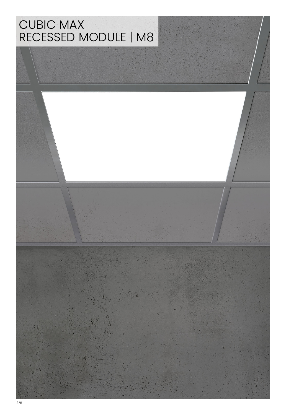## CUBIC MAX RECESSED MODULE | M8